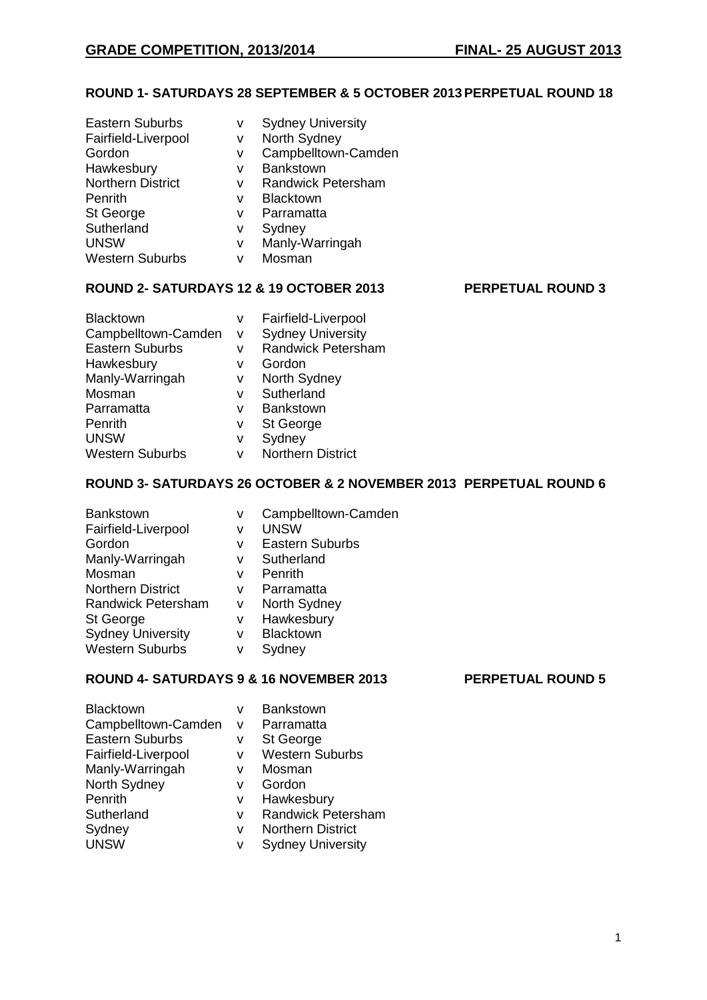## **ROUND 1- SATURDAYS 28 SEPTEMBER & 5 OCTOBER 2013PERPETUAL ROUND 18**

| <b>Eastern Suburbs</b>   | v | <b>Sydney University</b>  |
|--------------------------|---|---------------------------|
| Fairfield-Liverpool      | v | North Sydney              |
| Gordon                   | v | Campbelltown-Camden       |
| Hawkesbury               | v | Bankstown                 |
| <b>Northern District</b> | v | <b>Randwick Petersham</b> |
| Penrith                  | v | <b>Blacktown</b>          |
| St George                | v | Parramatta                |
| Sutherland               | v | Sydney                    |
| <b>UNSW</b>              | v | Manly-Warringah           |
| <b>Western Suburbs</b>   | v | Mosman                    |
|                          |   |                           |

## **ROUND 2- SATURDAYS 12 & 19 OCTOBER 2013 PERPETUAL ROUND 3**

| Blacktown              | v | Fairfield-Liverpool       |
|------------------------|---|---------------------------|
| Campbelltown-Camden    | V | <b>Sydney University</b>  |
| <b>Eastern Suburbs</b> | v | <b>Randwick Petersham</b> |
| Hawkesbury             | v | Gordon                    |
| Manly-Warringah        | v | North Sydney              |
| Mosman                 | v | Sutherland                |
| Parramatta             | v | <b>Bankstown</b>          |
| Penrith                | ٧ | St George                 |
| <b>UNSW</b>            | ٧ | Sydney                    |
| <b>Western Suburbs</b> | v | <b>Northern District</b>  |

## **ROUND 3- SATURDAYS 26 OCTOBER & 2 NOVEMBER 2013 PERPETUAL ROUND 6**

| <b>Bankstown</b>          | v | Campbelltown-Camden    |
|---------------------------|---|------------------------|
| Fairfield-Liverpool       | v | <b>UNSW</b>            |
| Gordon                    | v | <b>Eastern Suburbs</b> |
| Manly-Warringah           | v | Sutherland             |
| Mosman                    | v | Penrith                |
| <b>Northern District</b>  | v | Parramatta             |
| <b>Randwick Petersham</b> | v | North Sydney           |
| St George                 | v | Hawkesbury             |
| <b>Sydney University</b>  | v | Blacktown              |
| <b>Western Suburbs</b>    | v | Sydney                 |

## **ROUND 4- SATURDAYS 9 & 16 NOVEMBER 2013 PERPETUAL ROUND 5**

| <b>Blacktown</b>       | v | Bankstown                 |
|------------------------|---|---------------------------|
| Campbelltown-Camden    | v | Parramatta                |
| <b>Eastern Suburbs</b> | ٧ | St George                 |
| Fairfield-Liverpool    | v | <b>Western Suburbs</b>    |
| Manly-Warringah        | v | Mosman                    |
| North Sydney           | v | Gordon                    |
| Penrith                | v | Hawkesbury                |
| Sutherland             | v | <b>Randwick Petersham</b> |
| Sydney                 | v | <b>Northern District</b>  |
| <b>UNSW</b>            | ٧ | <b>Sydney University</b>  |
|                        |   |                           |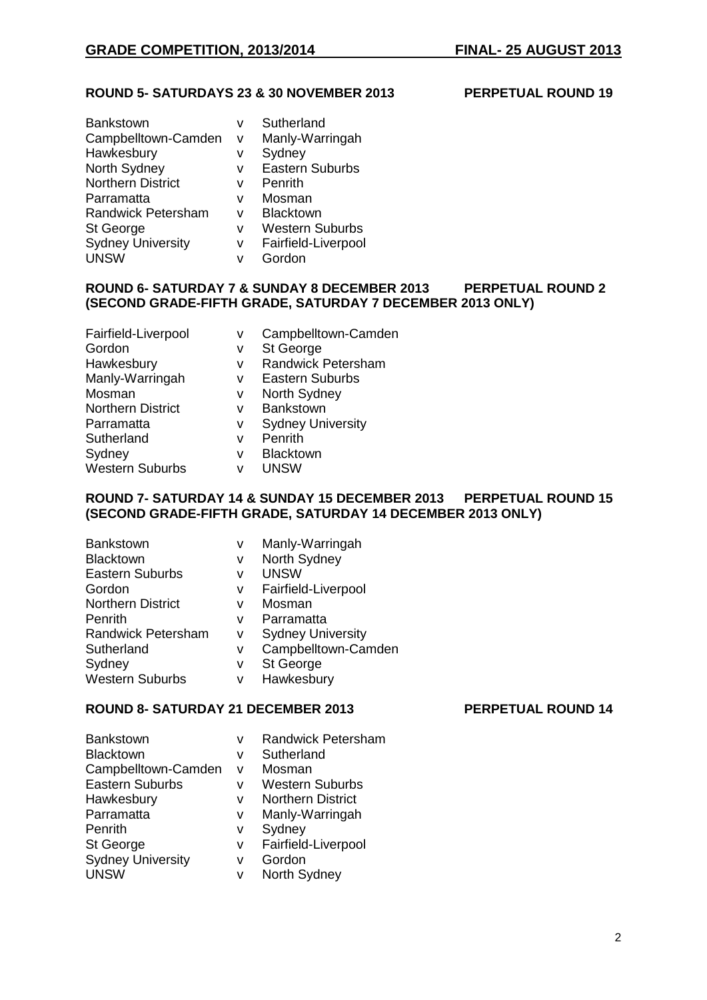### **ROUND 5- SATURDAYS 23 & 30 NOVEMBER 2013 PERPETUAL ROUND 19**

| v | Sutherland             |
|---|------------------------|
| v | Manly-Warringah        |
| v | Sydney                 |
| v | <b>Eastern Suburbs</b> |
| v | Penrith                |
| v | Mosman                 |
| v | <b>Blacktown</b>       |
| v | <b>Western Suburbs</b> |
| v | Fairfield-Liverpool    |
| v | Gordon                 |
|   |                        |

## **ROUND 6- SATURDAY 7 & SUNDAY 8 DECEMBER 2013 PERPETUAL ROUND 2 (SECOND GRADE-FIFTH GRADE, SATURDAY 7 DECEMBER 2013 ONLY)**

| Fairfield-Liverpool      | ٧ | Campbelltown-Camden       |
|--------------------------|---|---------------------------|
| Gordon                   | ٧ | St George                 |
| Hawkesbury               | v | <b>Randwick Petersham</b> |
| Manly-Warringah          | v | <b>Eastern Suburbs</b>    |
| Mosman                   | ٧ | North Sydney              |
| <b>Northern District</b> | v | Bankstown                 |
| Parramatta               | ٧ | <b>Sydney University</b>  |
| Sutherland               | v | Penrith                   |
| Sydney                   | v | Blacktown                 |
| <b>Western Suburbs</b>   | v | <b>UNSW</b>               |
|                          |   |                           |

### **ROUND 7- SATURDAY 14 & SUNDAY 15 DECEMBER 2013 PERPETUAL ROUND 15 (SECOND GRADE-FIFTH GRADE, SATURDAY 14 DECEMBER 2013 ONLY)**

| Bankstown                 | v | Manly-Warringah          |
|---------------------------|---|--------------------------|
| <b>Blacktown</b>          | v | North Sydney             |
| <b>Eastern Suburbs</b>    | v | <b>UNSW</b>              |
| Gordon                    | v | Fairfield-Liverpool      |
| <b>Northern District</b>  | v | Mosman                   |
| Penrith                   | v | Parramatta               |
| <b>Randwick Petersham</b> | v | <b>Sydney University</b> |
| Sutherland                | v | Campbelltown-Camden      |
| Sydney                    | v | St George                |
| <b>Western Suburbs</b>    | ٧ | Hawkesbury               |

# **ROUND 8- SATURDAY 21 DECEMBER 2013 PERPETUAL ROUND 14**

| <b>Bankstown</b>         | v | <b>Randwick Petersham</b> |
|--------------------------|---|---------------------------|
| <b>Blacktown</b>         | v | Sutherland                |
| Campbelltown-Camden      | v | Mosman                    |
| <b>Eastern Suburbs</b>   | v | <b>Western Suburbs</b>    |
| Hawkesbury               | v | <b>Northern District</b>  |
| Parramatta               | v | Manly-Warringah           |
| Penrith                  | v | Sydney                    |
| St George                | v | Fairfield-Liverpool       |
| <b>Sydney University</b> | v | Gordon                    |
| <b>UNSW</b>              | v | North Sydney              |
|                          |   |                           |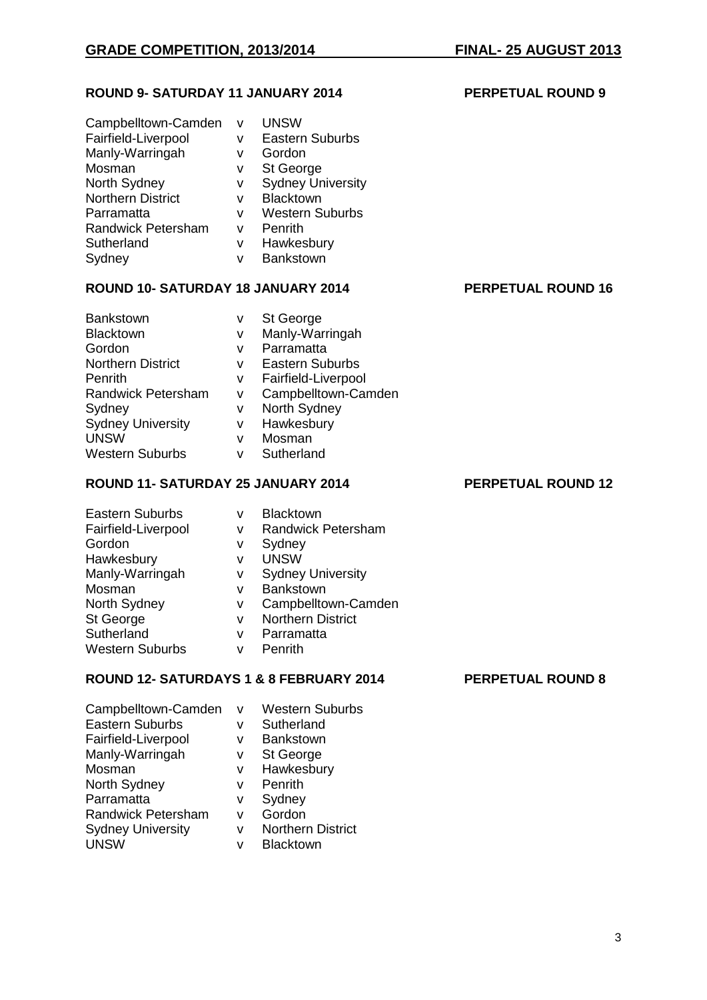## **ROUND 9- SATURDAY 11 JANUARY 2014 PERPETUAL ROUND 9**

| Campbelltown-Camden<br>Fairfield-Liverpool<br>Manly-Warringah<br>Mosman | v<br>v<br>v      | <b>UNSW</b><br><b>Eastern Suburbs</b><br>Gordon<br>St George |
|-------------------------------------------------------------------------|------------------|--------------------------------------------------------------|
| North Sydney<br><b>Northern District</b>                                | v<br>v<br>v      | <b>Sydney University</b><br>Blacktown                        |
| Parramatta<br><b>Randwick Petersham</b><br>Sutherland<br>Sydney         | v<br>v<br>v<br>v | <b>Western Suburbs</b><br>Penrith<br>Hawkesbury<br>Bankstown |

## **ROUND 10- SATURDAY 18 JANUARY 2014 PERPETUAL ROUND 16**

# Bankstown v St George Blacktown v Manly-Warringah Gordon v Parramatta<br>Northern District v Eastern Sul Penrith v Fairfield-Liverpool Randwick Petersham v Campbelltown-Camden Sydney v North Sydney Sydney University v Hawkesbury UNSW v Mosman

- v Eastern Suburbs
- Western Suburbs v Sutherland

## **ROUND 11- SATURDAY 25 JANUARY 2014 PERPETUAL ROUND 12**

### Eastern Suburbs v Blacktown Fairfield-Liverpool v Randwick Petersham Gordon v Sydney Hawkesbury v UNSW Manly-Warringah v Sydney University Mosman v Bankstown<br>
North Sydney v Campbellto North Sydney v Campbelltown-Camden<br>St George v Northern District St George v Northern District<br>
Sutherland v Parramatta v Parramatta Western Suburbs v Penrith

## **ROUND 12- SATURDAYS 1 & 8 FEBRUARY 2014 PERPETUAL ROUND 8**

| Campbelltown-Camden       | v | <b>Western Suburbs</b>   |
|---------------------------|---|--------------------------|
| <b>Eastern Suburbs</b>    | ٧ | Sutherland               |
| Fairfield-Liverpool       | v | <b>Bankstown</b>         |
| Manly-Warringah           | v | St George                |
| Mosman                    | ٧ | Hawkesbury               |
| North Sydney              | v | Penrith                  |
| Parramatta                | ٧ | Sydney                   |
| <b>Randwick Petersham</b> | v | Gordon                   |
| <b>Sydney University</b>  | v | <b>Northern District</b> |
| <b>UNSW</b>               | v | <b>Blacktown</b>         |
|                           |   |                          |